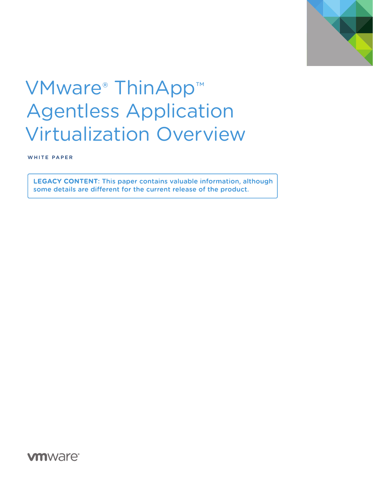

# VMware<sup>®</sup> ThinApp<sup>™</sup> Agentless Application Virtualization Overview

WHITE PAPER

**LEGACY CONTENT: This paper contains valuable information, although** some details are different for the current release of the product.

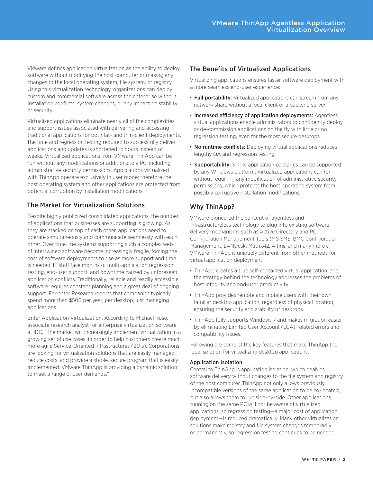VMware defines application virtualization as the ability to deploy software without modifying the host computer or making any changes to the local operating system, file system, or registry. Using this virtualization technology, organizations can deploy custom and commercial software across the enterprise without installation conflicts, system changes, or any impact on stability or security.

Virtualized applications eliminate nearly all of the complexities and support issues associated with delivering and accessing traditional applications for both fat- and thin-client deployments. The time and regression testing required to successfully deliver applications and updates is shortened to hours instead of weeks. Virtualized applications from VMware ThinApp can be run without any modifications or additions to a PC, including administrative security permissions. Applications virtualized with ThinApp operate exclusively in user mode; therefore the host operating system and other applications are protected from potential corruption by installation modifications.

## The Market for Virtualization Solutions

Despite highly publicized consolidated applications, the number of applications that businesses are supporting is growing. As they are stacked on top of each other, applications need to operate simultaneously and communicate seamlessly with each other. Over time, the systems supporting such a complex web of intertwined software become increasingly fragile, forcing the cost of software deployments to rise as more support and time is needed. IT staff face months of multi-application regression testing, end-user support, and downtime caused by unforeseen application conflicts. Traditionally, reliable and readily accessible software requires constant planning and a great deal of ongoing support. Forrester Research reports that companies typically spend more than \$500 per year, per desktop, just managing applications.

Enter Application Virtualization. According to Michael Rose, associate research analyst for enterprise virtualization software at IDC, "The market will increasingly implement virtualization in a growing set of use cases, in order to help customers create much more agile Service-Oriented Infrastructures (SOIs). Corporations are looking for virtualization solutions that are easily managed, reduce costs, and provide a stable, secure program that is easily implemented. VMware ThinApp is providing a dynamic solution to meet a range of user demands."

## The Benefits of Virtualized Applications

Virtualizing applications ensures faster software deployment with a more seamless end-user experience:

- Full portability: Virtualized applications can stream from any network share without a local client or a backend server.
- Increased efficiency of application deployments: Agentless virtual applications enable administrators to confidently deploy or de-commission applications on the fly with little or no regression testing, even for the most secure desktops.
- No runtime conflicts: Deploying virtual applications reduces lengthy QA and regression testing.
- **Supportability:** Single application packages can be supported by any Windows platform. Virtualized applications can run without requiring any modification of administrative security permissions, which protects the host operating system from possibly corruptive installation modifications.

## Why ThinApp?

VMware pioneered the concept of agentless and infrastructureless technology to plug into existing software delivery mechanisms such as Active Directory and PC Configuration Management Tools (MS SMS, BMC Configuration Management, LANDesk, Matrix42, Altiris, and many more). VMware ThinApp is uniquely different from other methods for virtual application deployment:

- ThinApp creates a true self-contained virtual application, and the strategy behind the technology addresses the problems of host integrity and end-user productivity.
- ThinApp provides remote and mobile users with their own familiar desktop application, regardless of physical location, ensuring the security and stability of desktops.
- ThinApp fully supports Windows 7 and makes migration easier by eliminating Limited User Account (LUA)-related errors and compatibility issues.

Following are some of the key features that make ThinApp the ideal solution for virtualizing desktop applications.

#### Application Isolation

Central to ThinApp is application isolation, which enables software delivery without changes to the file system and registry of the host computer. ThinApp not only allows previously incompatible versions of the same application to be co-located, but also allows them to run side-by-side. Other applications running on the same PC will not be aware of virtualized applications, so regression testing—a major cost of application deployment—is reduced dramatically. Many other virtualization solutions make registry and file system changes temporarily or permanently, so regression testing continues to be needed,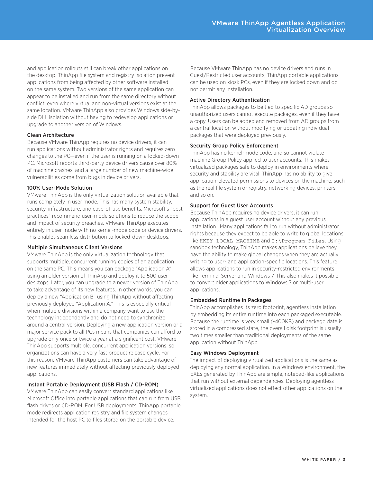and application rollouts still can break other applications on the desktop. ThinApp file system and registry isolation prevent applications from being affected by other software installed on the same system. Two versions of the same application can appear to be installed and run from the same directory without conflict, even where virtual and non-virtual versions exist at the same location. VMware ThinApp also provides Windows side-byside DLL isolation without having to redevelop applications or upgrade to another version of Windows.

#### Clean Architecture

Because VMware ThinApp requires no device drivers, it can run applications without administrator rights and requires zero changes to the PC—even if the user is running on a locked-down PC. Microsoft reports third-party device drivers cause over 80% of machine crashes, and a large number of new machine-wide vulnerabilities come from bugs in device drivers.

#### 100% User-Mode Solution

VMware ThinApp is the only virtualization solution available that runs completely in user mode. This has many system stability, security, infrastructure, and ease-of-use benefits. Microsoft's "best practices" recommend user-mode solutions to reduce the scope and impact of security breaches. VMware ThinApp executes entirely in user mode with no kernel-mode code or device drivers. This enables seamless distribution to locked-down desktops.

#### Multiple Simultaneous Client Versions

VMware ThinApp is the only virtualization technology that supports multiple, concurrent running copies of an application on the same PC. This means you can package "Application A" using an older version of ThinApp and deploy it to 500 user desktops. Later, you can upgrade to a newer version of ThinApp to take advantage of its new features. In other words, you can deploy a new "Application B" using ThinApp without affecting previously deployed "Application A." This is especially critical when multiple divisions within a company want to use the technology independently and do not need to synchronize around a central version. Deploying a new application version or a major service pack to all PCs means that companies can afford to upgrade only once or twice a year at a significant cost. VMware ThinApp supports multiple, concurrent application versions, so organizations can have a very fast product release cycle. For this reason, VMware ThinApp customers can take advantage of new features immediately without affecting previously deployed applications.

#### Instant Portable Deployment (USB Flash / CD-ROM)

VMware ThinApp can easily convert standard applications like Microsoft Office into portable applications that can run from USB flash drives or CD-ROM. For USB deployments, ThinApp portable mode redirects application registry and file system changes intended for the host PC to files stored on the portable device.

Because VMware ThinApp has no device drivers and runs in Guest/Restricted user accounts, ThinApp portable applications can be used on kiosk PCs, even if they are locked down and do not permit any installation.

#### Active Directory Authentication

ThinApp allows packages to be tied to specific AD groups so unauthorized users cannot execute packages, even if they have a copy. Users can be added and removed from AD groups from a central location without modifying or updating individual packages that were deployed previously.

#### Security Group Policy Enforcement

ThinApp has no kernel-mode code, and so cannot violate machine Group Policy applied to user accounts. This makes virtualized packages safe to deploy in environments where security and stability are vital. ThinApp has no ability to give application-elevated permissions to devices on the machine, such as the real file system or registry, networking devices, printers, and so on.

#### Support for Guest User Accounts

Because ThinApp requires no device drivers, it can run applications in a guest user account without any previous installation. Many applications fail to run without administrator rights because they expect to be able to write to global locations like HKEY\_LOCAL\_MACHINE and C:\Program Files. Using sandbox technology, ThinApp makes applications believe they have the ability to make global changes when they are actually writing to user- and application-specific locations. This feature allows applications to run in security-restricted environments like Terminal Server and Windows 7. This also makes it possible to convert older applications to Windows 7 or multi-user applications.

#### Embedded Runtime in Packages

ThinApp accomplishes its zero footprint, agentless installation by embedding its entire runtime into each packaged executable. Because the runtime is very small (~400KB) and package data is stored in a compressed state, the overall disk footprint is usually two times smaller than traditional deployments of the same application without ThinApp.

#### Easy Windows Deployment

The impact of deploying virtualized applications is the same as deploying any normal application. In a Windows environment, the EXEs generated by ThinApp are simple, notepad-like applications that run without external dependencies. Deploying agentless virtualized applications does not effect other applications on the system.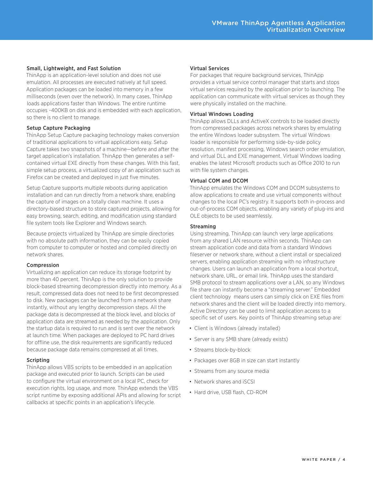#### Small, Lightweight, and Fast Solution

ThinApp is an application-level solution and does not use emulation. All processes are executed natively at full speed. Application packages can be loaded into memory in a few milliseconds (even over the network). In many cases, ThinApp loads applications faster than Windows. The entire runtime occupies ~400KB on disk and is embedded with each application, so there is no client to manage.

#### Setup Capture Packaging

ThinApp Setup Capture packaging technology makes conversion of traditional applications to virtual applications easy. Setup Capture takes two snapshots of a machine—before and after the target application's installation. ThinApp then generates a selfcontained virtual EXE directly from these changes. With this fast, simple setup process, a virtualized copy of an application such as Firefox can be created and deployed in just five minutes.

Setup Capture supports multiple reboots during application installation and can run directly from a network share, enabling the capture of images on a totally clean machine. It uses a directory-based structure to store captured projects, allowing for easy browsing, search, editing, and modification using standard file system tools like Explorer and Windows search.

Because projects virtualized by ThinApp are simple directories with no absolute path information, they can be easily copied from computer to computer or hosted and compiled directly on network shares.

#### Compression

Virtualizing an application can reduce its storage footprint by more than 40 percent. ThinApp is the only solution to provide block-based streaming decompression directly into memory. As a result, compressed data does not need to be first decompressed to disk. New packages can be launched from a network share instantly, without any lengthy decompression steps. All the package data is decompressed at the block level, and blocks of application data are streamed as needed by the application. Only the startup data is required to run and is sent over the network at launch time. When packages are deployed to PC hard drives for offline use, the disk requirements are significantly reduced because package data remains compressed at all times.

#### Scripting

ThinApp allows VBS scripts to be embedded in an application package and executed prior to launch. Scripts can be used to configure the virtual environment on a local PC, check for execution rights, log usage, and more. ThinApp extends the VBS script runtime by exposing additional APIs and allowing for script callbacks at specific points in an application's lifecycle.

#### Virtual Services

For packages that require background services, ThinApp provides a virtual service control manager that starts and stops virtual services required by the application prior to launching. The application can communicate with virtual services as though they were physically installed on the machine.

#### Virtual Windows Loading

ThinApp allows DLLs and ActiveX controls to be loaded directly from compressed packages across network shares by emulating the entire Windows loader subsystem. The virtual Windows loader is responsible for performing side-by-side policy resolution, manifest processing, Windows search order emulation, and virtual DLL and EXE management. Virtual Windows loading enables the latest Microsoft products such as Office 2010 to run with file system changes.

#### Virtual COM and DCOM

ThinApp emulates the Windows COM and DCOM subsystems to allow applications to create and use virtual components without changes to the local PC's registry. It supports both in-process and out-of-process COM objects, enabling any variety of plug-ins and OLE objects to be used seamlessly.

#### Streaming

Using streaming, ThinApp can launch very large applications from any shared LAN resource within seconds. ThinApp can stream application code and data from a standard Windows fileserver or network share, without a client install or specialized servers, enabling application streaming with no infrastructure changes. Users can launch an application from a local shortcut, network share, URL, or email link. ThinApp uses the standard SMB protocol to stream applications over a LAN, so any Windows file share can instantly become a "streaming server." Embedded client technology means users can simply click on EXE files from network shares and the client will be loaded directly into memory. Active Directory can be used to limit application access to a specific set of users. Key points of ThinApp streaming setup are:

- Client is Windows (already installed)
- Server is any SMB share (already exists)
- Streams block-by-block
- Packages over 8GB in size can start instantly
- Streams from any source media
- Network shares and iSCSI
- Hard drive, USB flash, CD-ROM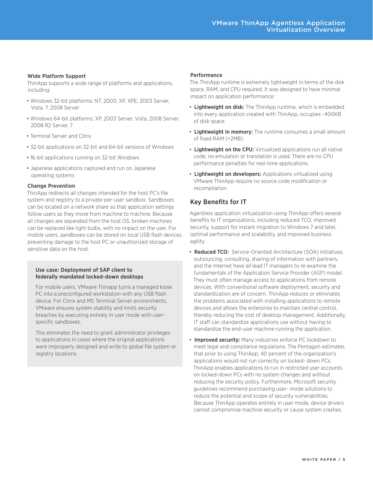#### Wide Platform Support

ThinApp supports a wide range of platforms and applications, including:

- Windows 32-bit platforms: NT, 2000, XP, XPE, 2003 Server, Vista, 7, 2008 Server
- Windows 64-bit platforms: XP, 2003 Server, Vista, 2008 Server, 2008 R2 Server, 7
- Terminal Server and Citrix
- 32-bit applications on 32-bit and 64-bit versions of Windows
- 16-bit applications running on 32-bit Windows
- Japanese applications captured and run on Japanese operating systems

#### Change Prevention

ThinApp redirects all changes intended for the host PC's file system and registry to a private-per-user sandbox. Sandboxes can be located on a network share so that application settings follow users as they move from machine to machine. Because all changes are separated from the host OS, broken machines can be replaced like light bulbs, with no impact on the user. For mobile users, sandboxes can be stored on local USB flash devices, preventing damage to the host PC or unauthorized storage of sensitive data on the host.

#### Use case: Deployment of SAP client to federally mandated locked-down desktops

For mobile users, VMware Thinapp turns a managed kiosk PC into a preconfigured workstation with any USB flash device. For Citrix and MS Terminal Server environments, VMware ensures system stability and limits security breaches by executing entirely in user mode with userspecific sandboxes.

This eliminates the need to grant administrator privileges to applications in cases where the original applications were improperly designed and write to global file system or registry locations.

#### Performance

The ThinApp runtime is extremely lightweight in terms of the disk space, RAM, and CPU required. It was designed to have minimal impact on application performance:

- Lightweight on disk: The ThinApp runtime, which is embedded into every application created with ThinApp, occupies ~400KB of disk space.
- Lightweight in memory: The runtime consumes a small amount of fixed RAM (<2MB).
- Lightweight on the CPU: Virtualized applications run all native code; no emulation or translation is used. There are no CPU performance penalties for real-time applications.
- Lightweight on developers: Applications virtualized using VMware ThinApp require no source code modification or recompilation.

## Key Benefits for IT

Agentless application virtualization using ThinApp offers several benefits to IT organizations, including reduced TCO, improved security, support for instant migration to Windows 7 and later, optimal performance and scalability, and improved business agility.

- Reduced TCO: Service-Oriented Architecture (SOA) initiatives, outsourcing, consulting, sharing of information with partners, and the Internet have all lead IT managers to re-examine the fundamentals of the Application Service Provider (ASP) model. They must often manage access to applications from remote devices. With conventional software deployment, security and standardization are of concern. ThinApp reduces or eliminates the problems associated with installing applications to remote devices and allows the enterprise to maintain central control, thereby reducing the cost of desktop management. Additionally, IT staff can standardize applications use without having to standardize the end-user machine running the application.
- Improved security: Many industries enforce PC lockdown to meet legal and compliance regulations. The Pentagon estimates that prior to using ThinApp, 40 percent of the organization's applications would not run correctly on locked- down PCs. ThinApp enables applications to run in restricted user accounts on locked-down PCs with no system changes and without reducing the security policy. Furthermore, Microsoft security guidelines recommend purchasing user- mode solutions to reduce the potential and scope of security vulnerabilities. Because ThinApp operates entirely in user mode, device drivers cannot compromise machine security or cause system crashes.